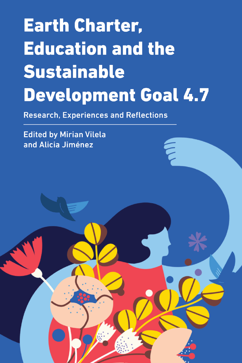# **Earth Charter, Education and the Sustainable Development Goal 4.7**

E<br>C

**Research, Experiences and Reflections** 

**Edited by Mirian Vilela** and Alicia Jiménez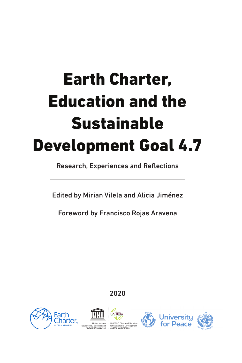## Earth Charter, Education and the Sustainable Development Goal 4.7

Research, Experiences and Reflections

Edited by Mirian Vilela and Alicia Jiménez

Foreword by Francisco Rojas Aravena

## 2020







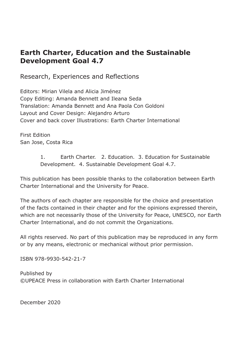### **Earth Charter, Education and the Sustainable Development Goal 4.7**

Research, Experiences and Reflections

Editors: Mirian Vilela and Alicia Jiménez Copy Editing: Amanda Bennett and Ileana Seda Translation: Amanda Bennett and Ana Paola Con Goldoni Layout and Cover Design: Alejandro Arturo Cover and back cover Illustrations: Earth Charter International

First Edition San Jose, Costa Rica

> 1. Earth Charter. 2. Education. 3. Education for Sustainable Development. 4. Sustainable Development Goal 4.7.

This publication has been possible thanks to the collaboration between Earth Charter International and the University for Peace.

The authors of each chapter are responsible for the choice and presentation of the facts contained in their chapter and for the opinions expressed therein, which are not necessarily those of the University for Peace, UNESCO, nor Earth Charter International, and do not commit the Organizations.

All rights reserved. No part of this publication may be reproduced in any form or by any means, electronic or mechanical without prior permission.

ISBN 978-9930-542-21-7

Published by ©UPEACE Press in collaboration with Earth Charter International

December 2020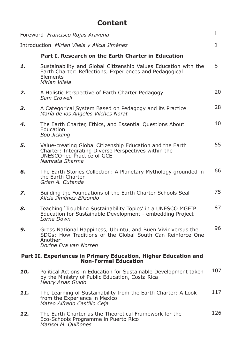|                                                                                                | <b>Content</b>                                                                                                                                                    |              |
|------------------------------------------------------------------------------------------------|-------------------------------------------------------------------------------------------------------------------------------------------------------------------|--------------|
|                                                                                                | Foreword Francisco Rojas Aravena                                                                                                                                  | i.           |
|                                                                                                | Introduction Mirian Vilela y Alicia Jiménez                                                                                                                       | $\mathbf{1}$ |
|                                                                                                | Part I. Research on the Earth Charter in Education                                                                                                                |              |
| 1.                                                                                             | Sustainability and Global Citizenship Values Education with the<br>Earth Charter: Reflections, Experiences and Pedagogical<br>Elements<br>Mirian Vilela           | 8            |
| 2.                                                                                             | A Holistic Perspective of Earth Charter Pedagogy<br>Sam Crowell                                                                                                   | 20           |
| З.                                                                                             | A Categorical System Based on Pedagogy and its Practice<br>María de los Angeles Vilches Norat                                                                     | 28           |
| 4.                                                                                             | The Earth Charter, Ethics, and Essential Questions About<br>Education<br><b>Bob Jickling</b>                                                                      | 40           |
| 5.                                                                                             | Value-creating Global Citizenship Education and the Earth<br>Charter: Integrating Diverse Perspectives within the<br>UNESCO-led Practice of GCE<br>Namrata Sharma | 55           |
| 6.                                                                                             | The Earth Stories Collection: A Planetary Mythology grounded in<br>the Earth Charter<br>Grian A. Cutanda                                                          | 66           |
| 7.                                                                                             | Building the Foundations of the Earth Charter Schools Seal<br>Alicia Jiménez-Elizondo                                                                             | 75           |
| 8.                                                                                             | Teaching 'Troubling Sustainability Topics' in a UNESCO MGEIP<br>Education for Sustainable Development - embedding Project<br>Lorna Down                           | 87           |
| 9.                                                                                             | Gross National Happiness, Ubuntu, and Buen Vivir versus the<br>SDGs: How Traditions of the Global South Can Reinforce One<br>Another<br>Dorine Eva van Norren     | 96           |
| Part II. Experiences in Primary Education, Higher Education and<br><b>Non-Formal Education</b> |                                                                                                                                                                   |              |
| 10.                                                                                            | Political Actions in Education for Sustainable Development taken<br>by the Ministry of Public Education, Costa Rica<br>Henry Arias Guido                          | 107          |
| 11.                                                                                            | The Learning of Sustainability from the Earth Charter: A Look<br>from the Experience in Mexico<br>Mateo Alfredo Castillo Ceja                                     | 117          |
| 12.                                                                                            | The Earth Charter as the Theoretical Framework for the<br>Eco-Schools Programme in Puerto Rico<br>Marisol M. Quiñones                                             | 126          |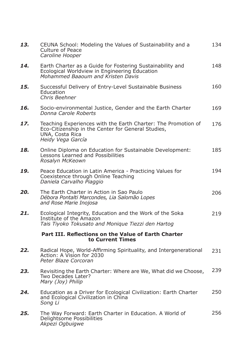| 13. | CEUNA School: Modeling the Values of Sustainability and a<br>Culture of Peace<br>Caroline Hooper                                                            | 134 |
|-----|-------------------------------------------------------------------------------------------------------------------------------------------------------------|-----|
| 14. | Earth Charter as a Guide for Fostering Sustainability and<br>Ecological Worldview in Engineering Education<br>Mohammed Baaoum and Kristen Davis             | 148 |
| 15. | Successful Delivery of Entry-Level Sustainable Business<br>Education<br>Chris Beehner                                                                       | 160 |
| 16. | Socio-environmental Justice, Gender and the Earth Charter<br>Donna Carole Roberts                                                                           | 169 |
| 17. | Teaching Experiences with the Earth Charter: The Promotion of<br>Eco-Citizenship in the Center for General Studies,<br>UNA, Costa Rica<br>Heidy Vega García | 176 |
| 18. | Online Diploma on Education for Sustainable Development:<br>Lessons Learned and Possibilities<br>Rosalyn McKeown                                            | 185 |
| 19. | Peace Education in Latin America - Practicing Values for<br>Coexistence through Online Teaching<br>Daniela Carvalho Piaggio                                 | 194 |
| 20. | The Earth Charter in Action in Sao Paulo<br>Débora Pontalti Marcondes, Lia Salomão Lopes<br>and Rose Marie Inojosa                                          | 206 |
| 21. | Ecological Integrity, Education and the Work of the Soka<br>Institute of the Amazon<br>Tais Tiyoko Tokusato and Monique Tiezzi den Hartog                   | 219 |
|     | Part III. Reflections on the Value of Earth Charter<br>to Current Times                                                                                     |     |
| 22. | Radical Hope, World-Affirming Spirituality, and Intergenerational<br>Action: A Vision for 2030<br>Peter Blaze Corcoran                                      | 231 |
| 23. | Revisiting the Earth Charter: Where are We, What did we Choose,<br>Two Decades Later?<br>Mary (Joy) Philip                                                  | 239 |
| 24. | Education as a Driver for Ecological Civilization: Earth Charter<br>and Ecological Civilization in China<br>Song Li                                         | 250 |
| 25. | The Way Forward: Earth Charter in Education. A World of<br>Delightsome Possibilities<br>Akpezi Ogbuigwe                                                     | 256 |
|     |                                                                                                                                                             |     |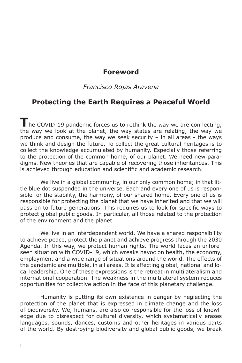#### **Foreword**

#### *Francisco Rojas Aravena*

#### **Protecting the Earth Requires a Peaceful World**

The COVID-19 pandemic forces us to rethink the way we are connecting, the way we look at the planet, the way states are relating, the way we produce and consume, the way we seek security – in all areas - the ways we think and design the future. To collect the great cultural heritages is to collect the knowledge accumulated by humanity. Especially those referring to the protection of the common home, of our planet. We need new paradigms. New theories that are capable of recovering those inheritances. This is achieved through education and scientific and academic research.

We live in a global community, in our only common home; in that little blue dot suspended in the universe. Each and every one of us is responsible for the stability, the harmony, of our shared home. Every one of us is responsible for protecting the planet that we have inherited and that we will pass on to future generations. This requires us to look for specific ways to protect global public goods. In particular, all those related to the protection of the environment and the planet.

We live in an interdependent world. We have a shared responsibility to achieve peace, protect the planet and achieve progress through the 2030 Agenda. In this way, we protect human rights. The world faces an unforeseen situation with COVID-19, which wreaks havoc on health, the economy, employment and a wide range of situations around the world. The effects of the pandemic are multiple, in all areas. It is affecting global, national and local leadership. One of these expressions is the retreat in multilateralism and international cooperation. The weakness in the multilateral system reduces opportunities for collective action in the face of this planetary challenge.

Humanity is putting its own existence in danger by neglecting the protection of the planet that is expressed in climate change and the loss of biodiversity. We, humans, are also co-responsible for the loss of knowledge due to disrespect for cultural diversity, which systematically erases languages, sounds, dances, customs and other heritages in various parts of the world. By destroying biodiversity and global public goods, we break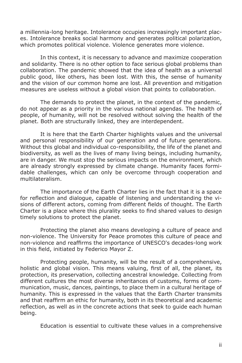a millennia-long heritage. Intolerance occupies increasingly important places. Intolerance breaks social harmony and generates political polarization, which promotes political violence. Violence generates more violence.

In this context, it is necessary to advance and maximize cooperation and solidarity. There is no other option to face serious global problems than collaboration. The pandemic showed that the idea of health as a universal public good, like others, has been lost. With this, the sense of humanity and the vision of our common home are lost. All prevention and mitigation measures are useless without a global vision that points to collaboration.

The demands to protect the planet, in the context of the pandemic, do not appear as a priority in the various national agendas. The health of people, of humanity, will not be resolved without solving the health of the planet. Both are structurally linked, they are interdependent.

It is here that the Earth Charter highlights values and the universal and personal responsibility of our generation and of future generations. Without this global and individual co-responsibility, the life of the planet and biodiversity, as well as the lives of many living beings, including humanity, are in danger. We must stop the serious impacts on the environment, which are already strongly expressed by climate change. Humanity faces formidable challenges, which can only be overcome through cooperation and multilateralism.

The importance of the Earth Charter lies in the fact that it is a space for reflection and dialogue, capable of listening and understanding the visions of different actors, coming from different fields of thought. The Earth Charter is a place where this plurality seeks to find shared values to design timely solutions to protect the planet.

Protecting the planet also means developing a culture of peace and non-violence. The University for Peace promotes this culture of peace and non-violence and reaffirms the importance of UNESCO's decades-long work in this field, initiated by Federico Mayor Z.

Protecting people, humanity, will be the result of a comprehensive, holistic and global vision. This means valuing, first of all, the planet, its protection, its preservation, collecting ancestral knowledge. Collecting from different cultures the most diverse inheritances of customs, forms of communication, music, dances, paintings, to place them in a cultural heritage of humanity. This is expressed in the values that the Earth Charter transmits and that reaffirm an ethic for humanity, both in its theoretical and academic reflection, as well as in the concrete actions that seek to guide each human being.

Education is essential to cultivate these values in a comprehensive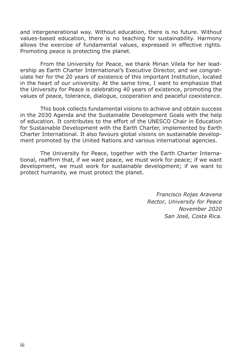and intergenerational way. Without education, there is no future. Without values-based education, there is no teaching for sustainability. Harmony allows the exercise of fundamental values, expressed in effective rights. Promoting peace is protecting the planet.

From the University for Peace, we thank Mirian Vilela for her leadership as Earth Charter International's Executive Director, and we congratulate her for the 20 years of existence of this important Institution, located in the heart of our university. At the same time, I want to emphasize that the University for Peace is celebrating 40 years of existence, promoting the values of peace, tolerance, dialogue, cooperation and peaceful coexistence.

This book collects fundamental visions to achieve and obtain success in the 2030 Agenda and the Sustainable Development Goals with the help of education. It contributes to the effort of the UNESCO Chair in Education for Sustainable Development with the Earth Charter, implemented by Earth Charter International. It also favours global visions on sustainable development promoted by the United Nations and various international agencies.

The University for Peace, together with the Earth Charter International, reaffirm that, if we want peace, we must work for peace; if we want development, we must work for sustainable development; if we want to protect humanity, we must protect the planet.

> *Francisco Rojas Aravena Rector, University for Peace November 2020 San José, Costa Rica.*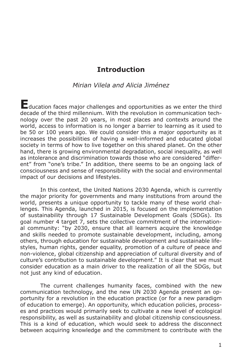#### **Introduction**

#### *Mirian Vilela and Alicia Jiménez*

**E**ducation faces major challenges and opportunities as we enter the third decade of the third millennium. With the revolution in communication technology over the past 20 years, in most places and contexts around the world, access to information is no longer a barrier to learning as it used to be 50 or 100 years ago. We could consider this a major opportunity as it increases the possibilities of having a well-informed and educated global society in terms of how to live together on this shared planet. On the other hand, there is growing environmental degradation, social inequality, as well as intolerance and discrimination towards those who are considered "different" from "one's tribe." In addition, there seems to be an ongoing lack of consciousness and sense of responsibility with the social and environmental impact of our decisions and lifestyles.

In this context, the United Nations 2030 Agenda, which is currently the major priority for governments and many institutions from around the world, presents a unique opportunity to tackle many of these world challenges. This Agenda, launched in 2015, is focused on the implementation of sustainability through 17 Sustainable Development Goals (SDGs). Its goal number 4 target 7, sets the collective commitment of the international community: "by 2030, ensure that all learners acquire the knowledge and skills needed to promote sustainable development, including, among others, through education for sustainable development and sustainable lifestyles, human rights, gender equality, promotion of a culture of peace and non-violence, global citizenship and appreciation of cultural diversity and of culture's contribution to sustainable development." It is clear that we must consider education as a main driver to the realization of all the SDGs, but not just any kind of education.

The current challenges humanity faces, combined with the new communication technology, and the new UN 2030 Agenda present an opportunity for a revolution in the education practice (or for a new paradigm of education to emerge). An opportunity, which education policies, processes and practices would primarily seek to cultivate a new level of ecological responsibility, as well as sustainability and global citizenship consciousness. This is a kind of education, which would seek to address the disconnect between acquiring knowledge and the commitment to contribute with the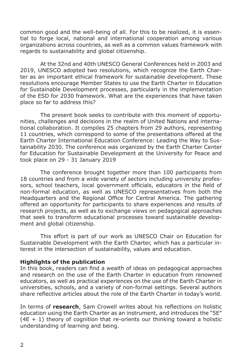common good and the well-being of all. For this to be realized, it is essential to forge local, national and international cooperation among various organizations across countries, as well as a common values framework with regards to sustainability and global citizenship.

At the 32nd and 40th UNESCO General Conferences held in 2003 and 2019, UNESCO adopted two resolutions, which recognize the Earth Charter as an important ethical framework for sustainable development. These resolutions encourage Member States to use the Earth Charter in Education for Sustainable Development processes, particularly in the implementation of the ESD for 2030 framework. What are the experiences that have taken place so far to address this?

The present book seeks to contribute with this moment of opportunities, challenges and decisions in the realm of United Nations and international collaboration. It compiles 25 chapters from 29 authors, representing 11 countries, which correspond to some of the presentations offered at the Earth Charter International Education Conference: Leading the Way to Sustainability 2030. The conference was organized by the Earth Charter Center for Education for Sustainable Development at the University for Peace and took place on 29 - 31 January 2019

The conference brought together more than 100 participants from 18 countries and from a wide variety of sectors including university professors, school teachers, local government officials, educators in the field of non-formal education, as well as UNESCO representatives from both the Headquarters and the Regional Office for Central America. The gathering offered an opportunity for participants to share experiences and results of research projects, as well as to exchange views on pedagogical approaches that seek to transform educational processes toward sustainable development and global citizenship.

This effort is part of our work as UNESCO Chair on Education for Sustainable Development with the Earth Charter, which has a particular interest in the intersection of sustainability, values and education.

#### **Highlights of the publication**

In this book, readers can find a wealth of ideas on pedagogical approaches and research on the use of the Earth Charter in education from renowned educators, as well as practical experiences on the use of the Earth Charter in universities, schools, and a variety of non-formal settings. Several authors share reflective articles about the role of the Earth Charter in today's world.

In terms of **research**, Sam Crowell writes about his reflections on holistic education using the Earth Charter as an instrument, and introduces the "5E"  $(4E + 1)$  theory of cognition that re-orients our thinking toward a holistic understanding of learning and being.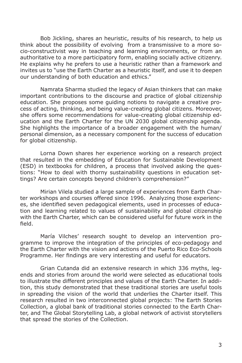Bob Jickling, shares an heuristic, results of his research, to help us think about the possibility of evolving from a transmissive to a more socio-constructivist way in teaching and learning environments, or from an authoritative to a more participatory form, enabling socially active citizenry. He explains why he prefers to use a heuristic rather than a framework and invites us to "use the Earth Charter as a heuristic itself, and use it to deepen our understanding of both education and ethics."

Namrata Sharma studied the legacy of Asian thinkers that can make important contributions to the discourse and practice of global citizenship education. She proposes some guiding notions to navigate a creative process of acting, thinking, and being value-creating global citizens. Moreover, she offers some recommendations for value-creating global citizenship education and the Earth Charter for the UN 2030 global citizenship agenda. She highlights the importance of a broader engagement with the human/ personal dimension, as a necessary component for the success of education for global citizenship.

Lorna Down shares her experience working on a research project that resulted in the embedding of Education for Sustainable Development (ESD) in textbooks for children, a process that involved asking the questions: "How to deal with thorny sustainability questions in education settings? Are certain concepts beyond children's comprehension?"

Mirian Vilela studied a large sample of experiences from Earth Charter workshops and courses offered since 1996. Analyzing those experiences, she identified seven pedagogical elements, used in processes of education and learning related to values of sustainability and global citizenship with the Earth Charter, which can be considered useful for future work in the field.

María Vilches' research sought to develop an intervention programme to improve the integration of the principles of eco-pedagogy and the Earth Charter with the vision and actions of the Puerto Rico Eco-Schools Programme. Her findings are very interesting and useful for educators.

Grian Cutanda did an extensive research in which 336 myths, legends and stories from around the world were selected as educational tools to illustrate the different principles and values of the Earth Charter. In addition, this study demonstrated that these traditional stories are useful tools in spreading the vision of the world that underlies the Charter itself. This research resulted in two interconnected global projects: The Earth Stories Collection, a global bank of traditional stories connected to the Earth Charter, and The Global Storytelling Lab, a global network of activist storytellers that spread the stories of the Collection.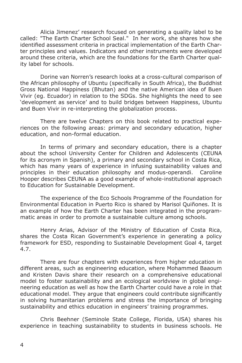Alicia Jimenez' research focused on generating a quality label to be called: "The Earth Charter School Seal." In her work, she shares how she identified assessment criteria in practical implementation of the Earth Charter principles and values. Indicators and other instruments were developed around these criteria, which are the foundations for the Earth Charter quality label for schools.

Dorine van Norren's research looks at a cross-cultural comparison of the African philosophy of Ubuntu (specifically in South Africa), the Buddhist Gross National Happiness (Bhutan) and the native American idea of Buen Vivir (eg. Ecuador) in relation to the SDGs. She highlights the need to see 'development as service' and to build bridges between Happiness, Ubuntu and Buen Vivir in re-interpreting the globalization process.

There are twelve Chapters on this book related to practical experiences on the following areas: primary and secondary education, higher education, and non-formal education.

In terms of primary and secondary education, there is a chapter about the school University Center for Children and Adolescents (CEUNA for its acronym in Spanish), a primary and secondary school in Costa Rica, which has many years of experience in infusing sustainability values and principles in their education philosophy and modus-operandi. Caroline Hooper describes CEUNA as a good example of whole-institutional approach to Education for Sustainable Development.

The experience of the Eco Schools Programme of the Foundation for Environmental Education in Puerto Rico is shared by Marisol Quiñones. It is an example of how the Earth Charter has been integrated in the programmatic areas in order to promote a sustainable culture among schools.

Henry Arias, Advisor of the Ministry of Education of Costa Rica, shares the Costa Rican Government's experience in generating a policy framework for ESD, responding to Sustainable Development Goal 4, target 4.7.

There are four chapters with experiences from higher education in different areas, such as engineering education, where Mohammed Baaoum and Kristen Davis share their research on a comprehensive educational model to foster sustainability and an ecological worldview in global engineering education as well as how the Earth Charter could have a role in that educational model. They argue that engineers could contribute significantly in solving humanitarian problems and stress the importance of bringing sustainability and ethics education in engineers' training programmes.

Chris Beehner (Seminole State College, Florida, USA) shares his experience in teaching sustainability to students in business schools. He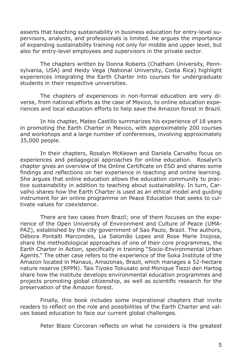asserts that teaching sustainability in business education for entry-level supervisors, analysts, and professionals is limited. He argues the importance of expanding sustainability training not only for middle and upper level, but also for entry-level employees and supervisors in the private sector.

The chapters written by Donna Roberts (Chatham University, Pennsylvania, USA) and Heidy Vega (National University, Costa Rica) highlight experiences integrating the Earth Charter into courses for undergraduate students in their respective universities.

The chapters of experiences in non-formal education are very diverse, from national efforts as the case of Mexico, to online education experiences and local education efforts to help save the Amazon forest in Brazil.

In his chapter, Mateo Castillo summarizes his experience of 18 years in promoting the Earth Charter in Mexico, with approximately 200 courses and workshops and a large number of conferences, involving approximately 35,000 people.

In their chapters, Rosalyn McKeown and Daniela Carvalho focus on experiences and pedagogical approaches for online education. Rosalyn's chapter gives an overview of the Online Certificate on ESD and shares some findings and reflections on her experience in teaching and online learning. She argues that online education allows the education community to practice sustainability in addition to teaching about sustainability. In turn, Carvalho shares how the Earth Charter is used as an ethical model and guiding instrument for an online programme on Peace Education that seeks to cultivate values for coexistence.

There are two cases from Brazil; one of them focuses on the experience of the Open University of Environment and Culture of Peace (UMA-PAZ), established by the city government of Sao Paulo, Brazil. The authors, Débora Pontalti Marcondes, Lia Salomão Lopes and Rose Marie Inojosa, share the methodological approaches of one of their core programmes, the Earth Charter in Action, specifically in training "Socio-Environmental Urban Agents." The other case refers to the experience of the Soka Institute of the Amazon located in Manaus, Amazonas, Brazil, which manages a 52-hectare nature reserve (RPPN). Tais Tiyoko Tokusato and Monique Tiezzi den Hartog share how the institute develops environmental education programmes and projects promoting global citizenship, as well as scientific research for the preservation of the Amazon forest.

Finally, this book includes some inspirational chapters that invite readers to reflect on the role and possibilities of the Earth Charter and values based education to face our current global challenges.

Peter Blaze Corcoran reflects on what he considers is the greatest